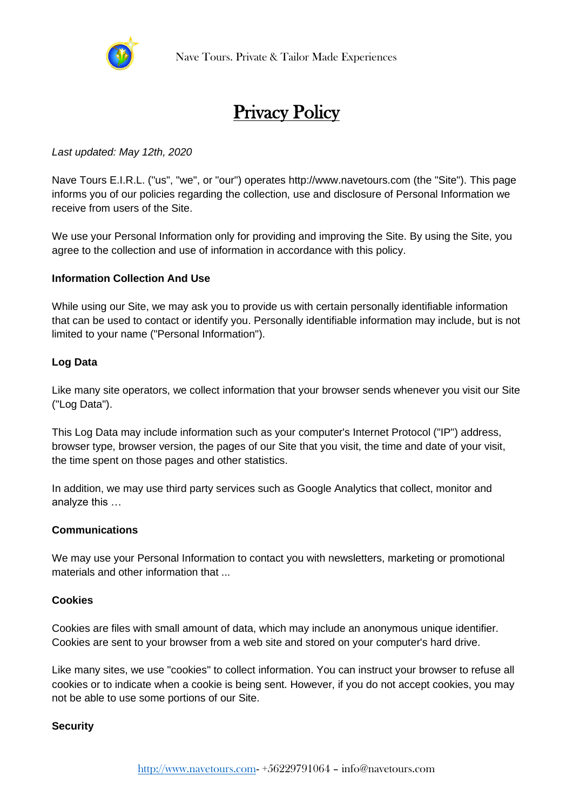

# Privacy Policy

# *Last updated: May 12th, 2020*

Nave Tours E.I.R.L. ("us", "we", or "our") operates http://www.navetours.com (the "Site"). This page informs you of our policies regarding the collection, use and disclosure of Personal Information we receive from users of the Site.

We use your Personal Information only for providing and improving the Site. By using the Site, you agree to the collection and use of information in accordance with this policy.

# **Information Collection And Use**

While using our Site, we may ask you to provide us with certain personally identifiable information that can be used to contact or identify you. Personally identifiable information may include, but is not limited to your name ("Personal Information").

# **Log Data**

Like many site operators, we collect information that your browser sends whenever you visit our Site ("Log Data").

This Log Data may include information such as your computer's Internet Protocol ("IP") address, browser type, browser version, the pages of our Site that you visit, the time and date of your visit, the time spent on those pages and other statistics.

In addition, we may use third party services such as Google Analytics that collect, monitor and analyze this …

#### **Communications**

We may use your Personal Information to contact you with newsletters, marketing or promotional materials and other information that ...

#### **Cookies**

Cookies are files with small amount of data, which may include an anonymous unique identifier. Cookies are sent to your browser from a web site and stored on your computer's hard drive.

Like many sites, we use "cookies" to collect information. You can instruct your browser to refuse all cookies or to indicate when a cookie is being sent. However, if you do not accept cookies, you may not be able to use some portions of our Site.

#### **Security**